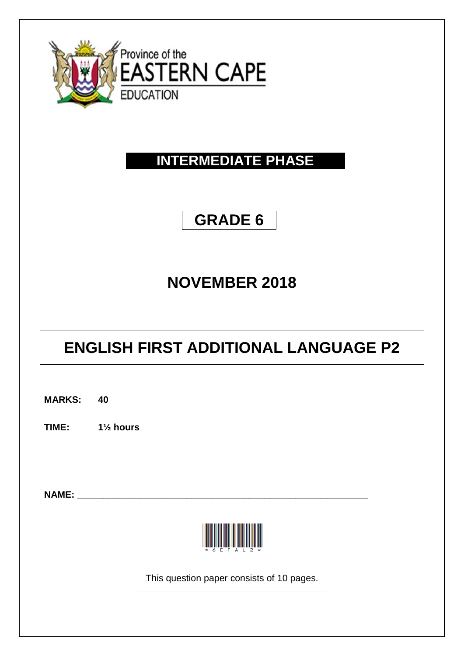

### **INTERMEDIATE PHASE**

### **GRADE 6**

## **NOVEMBER 2018**

# **ENGLISH FIRST ADDITIONAL LANGUAGE P2**

**MARKS: 40 TIME: 1½ hours NAME: \_\_\_\_\_\_\_\_\_\_\_\_\_\_\_\_\_\_\_\_\_\_\_\_\_\_\_\_\_\_\_\_\_\_\_\_\_\_\_\_\_\_\_\_\_\_\_\_\_\_\_\_\_\_\_\_** This question paper consists of 10 pages.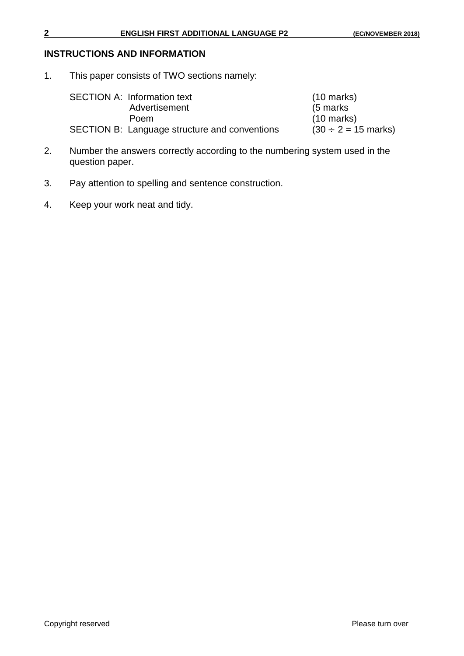#### **INSTRUCTIONS AND INFORMATION**

1. This paper consists of TWO sections namely:

SECTION A: Information text (10 marks)<br>Advertisement (5 marks) Advertisement<br>Poem SECTION B: Language structure and conventions

 $(10 \text{ marks})$ <br> $(30 \div 2 = 15 \text{ marks})$ 

- 2. Number the answers correctly according to the numbering system used in the question paper.
- 3. Pay attention to spelling and sentence construction.
- 4. Keep your work neat and tidy.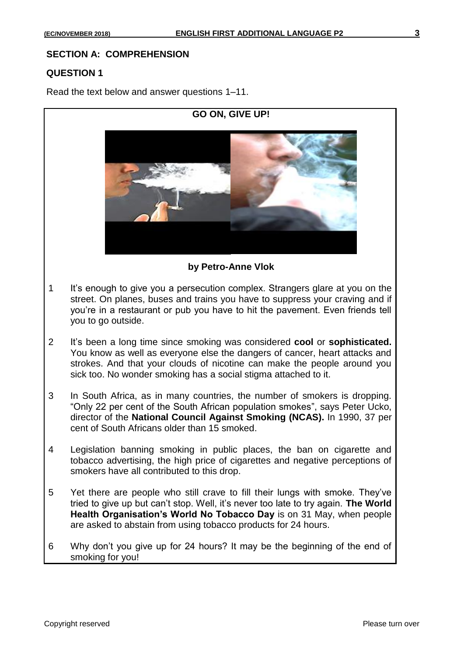#### **SECTION A: COMPREHENSION**

#### **QUESTION 1**

Read the text below and answer questions 1–11.

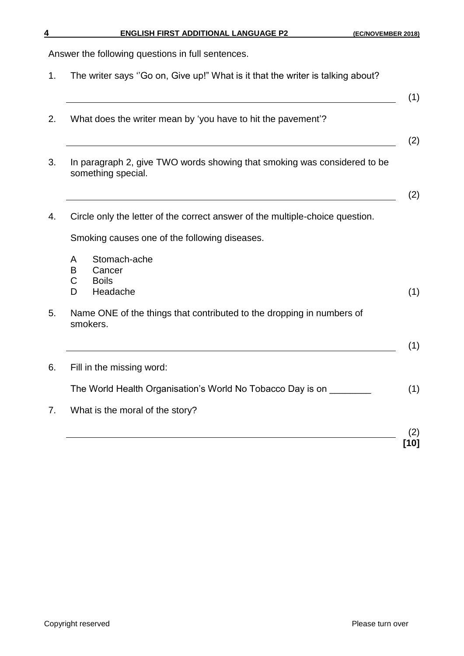Answer the following questions in full sentences.

- 1. The writer says ''Go on, Give up!" What is it that the writer is talking about?
- (1) 2. What does the writer mean by 'you have to hit the pavement'? (2) 3. In paragraph 2, give TWO words showing that smoking was considered to be something special. (2) 4. Circle only the letter of the correct answer of the multiple-choice question. Smoking causes one of the following diseases. A Stomach-ache B Cancer C Boils D Headache (1) 5. Name ONE of the things that contributed to the dropping in numbers of smokers. (1) 6. Fill in the missing word: The World Health Organisation's World No Tobacco Day is on \_\_\_\_\_\_\_\_ (1) 7. What is the moral of the story? (2) **[10]**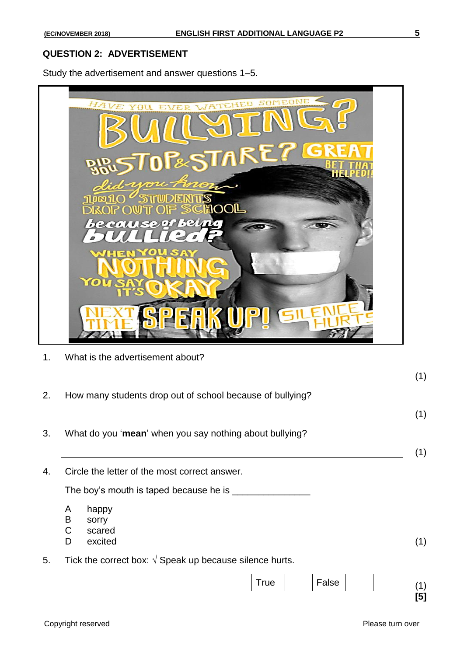#### **QUESTION 2: ADVERTISEMENT**

Study the advertisement and answer questions 1–5.



1. What is the advertisement about?

|    | How many students drop out of school because of bullying?        |  |  |  |  |
|----|------------------------------------------------------------------|--|--|--|--|
|    | What do you 'mean' when you say nothing about bullying?          |  |  |  |  |
|    | Circle the letter of the most correct answer.                    |  |  |  |  |
|    | The boy's mouth is taped because he is _____                     |  |  |  |  |
|    | A<br>happy<br>B<br>sorry<br>C<br>scared<br>D<br>excited          |  |  |  |  |
| 5. | Tick the correct box: $\sqrt{ }$ Speak up because silence hurts. |  |  |  |  |
|    | False<br><b>True</b>                                             |  |  |  |  |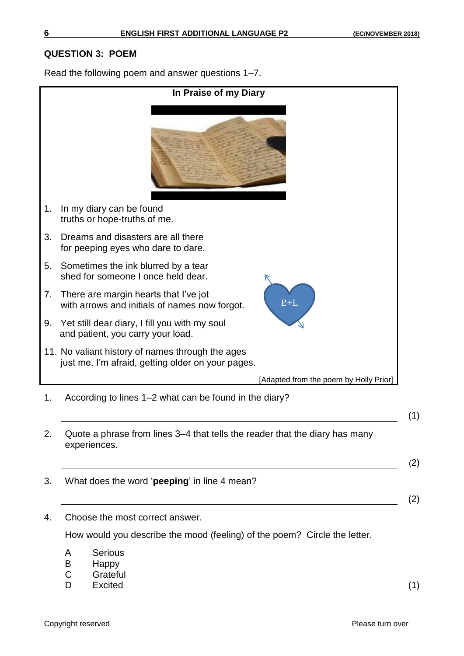#### **QUESTION 3: POEM**

Read the following poem and answer questions 1–7.



D Excited (1)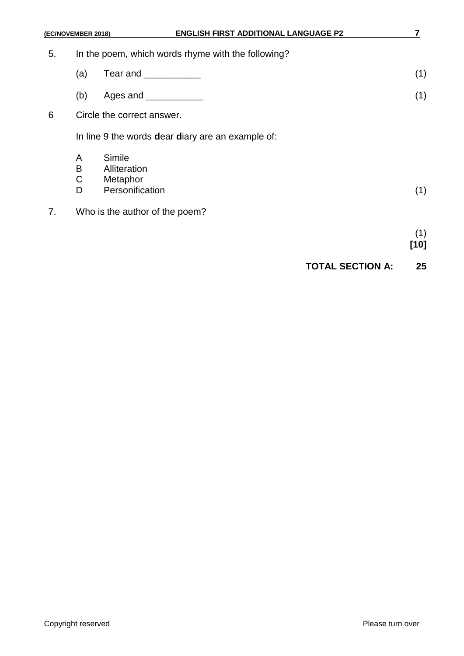| 5. | In the poem, which words rhyme with the following? |          |  |
|----|----------------------------------------------------|----------|--|
|    |                                                    | Tear and |  |

- (b) Ages and \_\_\_\_\_\_\_\_\_\_\_ (1)
- 6 Circle the correct answer.

In line 9 the words **d**ear **d**iary are an example of:

- A Simile<br>B Allitera
- B Alliteration<br>C Metaphor
- Metaphor
- D Personification (1)
- 7. Who is the author of the poem?

### (1) **[10]**

**TOTAL SECTION A: 25**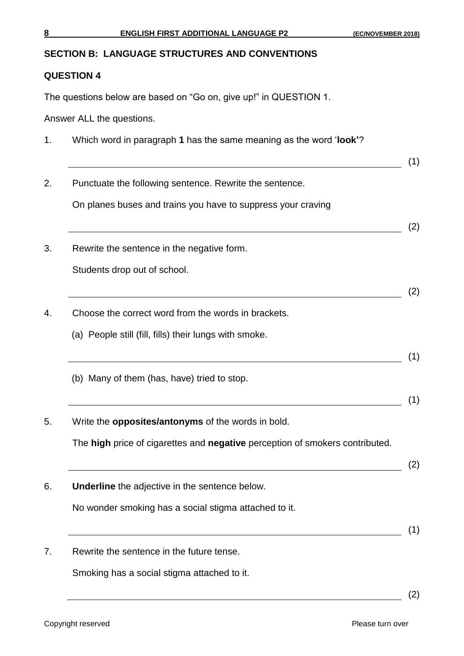#### **SECTION B: LANGUAGE STRUCTURES AND CONVENTIONS**

#### **QUESTION 4**

The questions below are based on "Go on, give up!" in QUESTION 1.

Answer ALL the questions.

- 1. Which word in paragraph **1** has the same meaning as the word '**look'**?
- (1) 2. Punctuate the following sentence. Rewrite the sentence. On planes buses and trains you have to suppress your craving (2) 3. Rewrite the sentence in the negative form. Students drop out of school. (2) 4. Choose the correct word from the words in brackets. (a) People still (fill, fills) their lungs with smoke. (1) (b) Many of them (has, have) tried to stop. (1) 5. Write the **opposites/antonyms** of the words in bold. The **high** price of cigarettes and **negative** perception of smokers contributed.  $\begin{array}{c} \hline \text{(2)} \end{array}$ 6. **Underline** the adjective in the sentence below. No wonder smoking has a social stigma attached to it.  $(1)$ 7. Rewrite the sentence in the future tense. Smoking has a social stigma attached to it.

(2)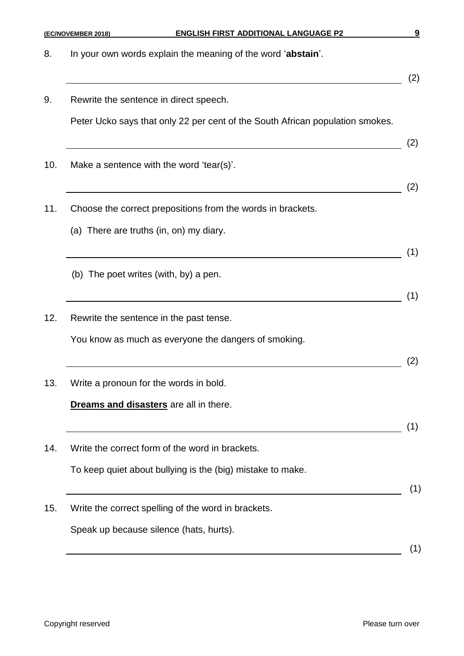| 8.  | In your own words explain the meaning of the word 'abstain'.                  |     |
|-----|-------------------------------------------------------------------------------|-----|
| 9.  | Rewrite the sentence in direct speech.                                        | (2) |
|     | Peter Ucko says that only 22 per cent of the South African population smokes. | (2) |
| 10. | Make a sentence with the word 'tear(s)'.                                      |     |
| 11. | Choose the correct prepositions from the words in brackets.                   | (2) |
|     | (a) There are truths (in, on) my diary.                                       | (1) |
|     | (b) The poet writes (with, by) a pen.                                         |     |
| 12. | Rewrite the sentence in the past tense.                                       | (1) |
|     | You know as much as everyone the dangers of smoking.                          | (2) |
| 13. | Write a pronoun for the words in bold.                                        |     |
|     | Dreams and disasters are all in there.                                        | (1) |
| 14. | Write the correct form of the word in brackets.                               |     |
|     | To keep quiet about bullying is the (big) mistake to make.                    | (1) |
| 15. | Write the correct spelling of the word in brackets.                           |     |
|     | Speak up because silence (hats, hurts).                                       | (1) |

**(EC/NOVEMBER 2018) ENGLISH FIRST ADDITIONAL LANGUAGE P2 9**